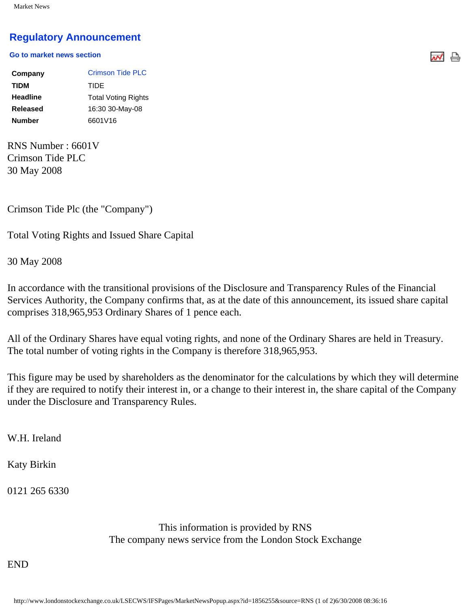## **[Regulatory Announcement](javascript: sendto()**

## **[Go to market news section](javascript: sendto()**

| Company         | Crimson Tide PLC           |
|-----------------|----------------------------|
| <b>TIDM</b>     | TIDE                       |
| <b>Headline</b> | <b>Total Voting Rights</b> |
| Released        | 16:30 30-May-08            |
| <b>Number</b>   | 6601V16                    |

RNS Number : 6601V Crimson Tide PLC 30 May 2008

Crimson Tide Plc (the "Company")

Total Voting Rights and Issued Share Capital

30 May 2008

In accordance with the transitional provisions of the Disclosure and Transparency Rules of the Financial Services Authority, the Company confirms that, as at the date of this announcement, its issued share capital comprises 318,965,953 Ordinary Shares of 1 pence each.

ᄴᇦ

All of the Ordinary Shares have equal voting rights, and none of the Ordinary Shares are held in Treasury. The total number of voting rights in the Company is therefore 318,965,953.

This figure may be used by shareholders as the denominator for the calculations by which they will determine if they are required to notify their interest in, or a change to their interest in, the share capital of the Company under the Disclosure and Transparency Rules.

W.H. Ireland

Katy Birkin

0121 265 6330

This information is provided by RNS The company news service from the London Stock Exchange

END